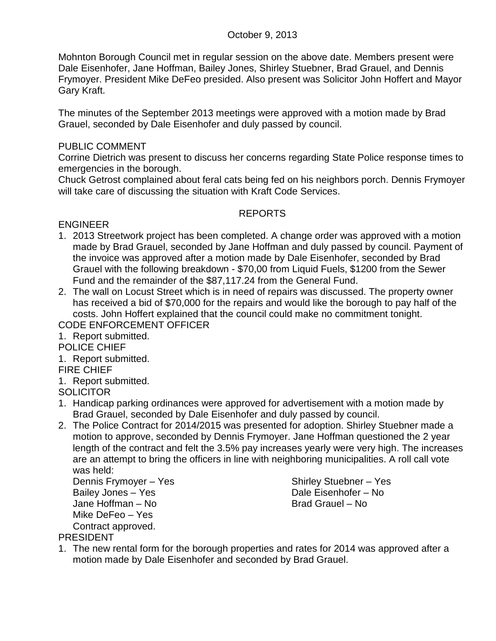# October 9, 2013

Mohnton Borough Council met in regular session on the above date. Members present were Dale Eisenhofer, Jane Hoffman, Bailey Jones, Shirley Stuebner, Brad Grauel, and Dennis Frymoyer. President Mike DeFeo presided. Also present was Solicitor John Hoffert and Mayor Gary Kraft.

The minutes of the September 2013 meetings were approved with a motion made by Brad Grauel, seconded by Dale Eisenhofer and duly passed by council.

# PUBLIC COMMENT

Corrine Dietrich was present to discuss her concerns regarding State Police response times to emergencies in the borough.

Chuck Getrost complained about feral cats being fed on his neighbors porch. Dennis Frymoyer will take care of discussing the situation with Kraft Code Services.

# REPORTS

ENGINEER

- 1. 2013 Streetwork project has been completed. A change order was approved with a motion made by Brad Grauel, seconded by Jane Hoffman and duly passed by council. Payment of the invoice was approved after a motion made by Dale Eisenhofer, seconded by Brad Grauel with the following breakdown - \$70,00 from Liquid Fuels, \$1200 from the Sewer Fund and the remainder of the \$87,117.24 from the General Fund.
- 2. The wall on Locust Street which is in need of repairs was discussed. The property owner has received a bid of \$70,000 for the repairs and would like the borough to pay half of the costs. John Hoffert explained that the council could make no commitment tonight. CODE ENFORCEMENT OFFICER

- 1. Report submitted.
- POLICE CHIEF
- 1. Report submitted.

FIRE CHIEF

- 1. Report submitted.
- **SOLICITOR**
- 1. Handicap parking ordinances were approved for advertisement with a motion made by Brad Grauel, seconded by Dale Eisenhofer and duly passed by council.
- 2. The Police Contract for 2014/2015 was presented for adoption. Shirley Stuebner made a motion to approve, seconded by Dennis Frymoyer. Jane Hoffman questioned the 2 year length of the contract and felt the 3.5% pay increases yearly were very high. The increases are an attempt to bring the officers in line with neighboring municipalities. A roll call vote was held:

Dennis Frymoyer – Yes Shirley Stuebner – Yes Bailey Jones – Yes Dale Eisenhofer – No Jane Hoffman – No Brad Grauel – No Mike DeFeo – Yes Contract approved.

PRESIDENT

1. The new rental form for the borough properties and rates for 2014 was approved after a motion made by Dale Eisenhofer and seconded by Brad Grauel.